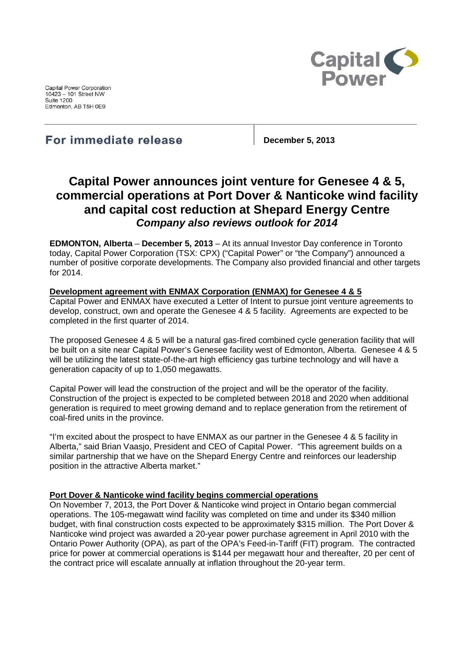Capital Power Corporation 10423 - 101 Street NW **Suite 1200** Edmonton, AB T5H 0E9



For immediate release

**December 5, 2013**

# **Capital Power announces joint venture for Genesee 4 & 5, commercial operations at Port Dover & Nanticoke wind facility and capital cost reduction at Shepard Energy Centre** *Company also reviews outlook for 2014*

**EDMONTON, Alberta** – **December 5, 2013** – At its annual Investor Day conference in Toronto today, Capital Power Corporation (TSX: CPX) ("Capital Power" or "the Company") announced a number of positive corporate developments. The Company also provided financial and other targets for 2014.

## **Development agreement with ENMAX Corporation (ENMAX) for Genesee 4 & 5**

Capital Power and ENMAX have executed a Letter of Intent to pursue joint venture agreements to develop, construct, own and operate the Genesee 4 & 5 facility. Agreements are expected to be completed in the first quarter of 2014.

The proposed Genesee 4 & 5 will be a natural gas-fired combined cycle generation facility that will be built on a site near Capital Power's Genesee facility west of Edmonton, Alberta. Genesee 4 & 5 will be utilizing the latest state-of-the-art high efficiency gas turbine technology and will have a generation capacity of up to 1,050 megawatts.

Capital Power will lead the construction of the project and will be the operator of the facility. Construction of the project is expected to be completed between 2018 and 2020 when additional generation is required to meet growing demand and to replace generation from the retirement of coal-fired units in the province.

"I'm excited about the prospect to have ENMAX as our partner in the Genesee 4 & 5 facility in Alberta," said Brian Vaasjo, President and CEO of Capital Power. "This agreement builds on a similar partnership that we have on the Shepard Energy Centre and reinforces our leadership position in the attractive Alberta market."

#### **Port Dover & Nanticoke wind facility begins commercial operations**

On November 7, 2013, the Port Dover & Nanticoke wind project in Ontario began commercial operations. The 105-megawatt wind facility was completed on time and under its \$340 million budget, with final construction costs expected to be approximately \$315 million. The Port Dover & Nanticoke wind project was awarded a 20-year power purchase agreement in April 2010 with the Ontario Power Authority (OPA), as part of the OPA's Feed-in-Tariff (FIT) program. The contracted price for power at commercial operations is \$144 per megawatt hour and thereafter, 20 per cent of the contract price will escalate annually at inflation throughout the 20-year term.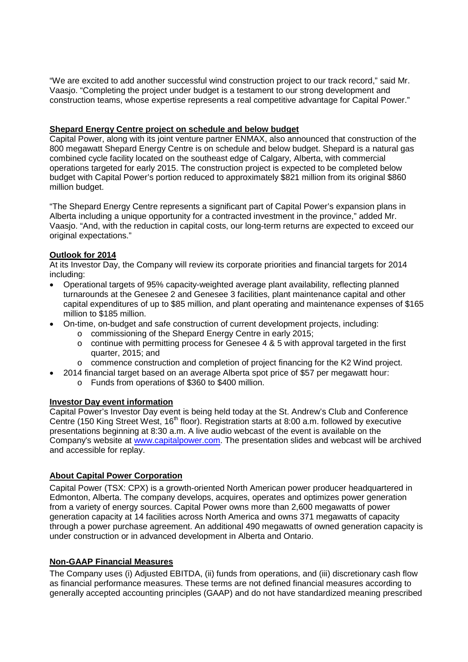"We are excited to add another successful wind construction project to our track record," said Mr. Vaasjo. "Completing the project under budget is a testament to our strong development and construction teams, whose expertise represents a real competitive advantage for Capital Power."

## **Shepard Energy Centre project on schedule and below budget**

Capital Power, along with its joint venture partner ENMAX, also announced that construction of the 800 megawatt Shepard Energy Centre is on schedule and below budget. Shepard is a natural gas combined cycle facility located on the southeast edge of Calgary, Alberta, with commercial operations targeted for early 2015. The construction project is expected to be completed below budget with Capital Power's portion reduced to approximately \$821 million from its original \$860 million budget.

"The Shepard Energy Centre represents a significant part of Capital Power's expansion plans in Alberta including a unique opportunity for a contracted investment in the province," added Mr. Vaasjo. "And, with the reduction in capital costs, our long-term returns are expected to exceed our original expectations."

### **Outlook for 2014**

At its Investor Day, the Company will review its corporate priorities and financial targets for 2014 including:

- Operational targets of 95% capacity-weighted average plant availability, reflecting planned turnarounds at the Genesee 2 and Genesee 3 facilities, plant maintenance capital and other capital expenditures of up to \$85 million, and plant operating and maintenance expenses of \$165 million to \$185 million.
- On-time, on-budget and safe construction of current development projects, including:
	- o commissioning of the Shepard Energy Centre in early 2015;
	- $\circ$  continue with permitting process for Genesee 4 & 5 with approval targeted in the first quarter, 2015; and
	- o commence construction and completion of project financing for the K2 Wind project.
- 2014 financial target based on an average Alberta spot price of \$57 per megawatt hour:
	- o Funds from operations of \$360 to \$400 million.

#### **Investor Day event information**

Capital Power's Investor Day event is being held today at the St. Andrew's Club and Conference Centre (150 King Street West, 16<sup>th</sup> floor). Registration starts at 8:00 a.m. followed by executive presentations beginning at 8:30 a.m. A live audio webcast of the event is available on the Company's website at www.capitalpower.com. The presentation slides and webcast will be archived and accessible for replay.

## **About Capital Power Corporation**

Capital Power (TSX: CPX) is a growth-oriented North American power producer headquartered in Edmonton, Alberta. The company develops, acquires, operates and optimizes power generation from a variety of energy sources. Capital Power owns more than 2,600 megawatts of power generation capacity at 14 facilities across North America and owns 371 megawatts of capacity through a power purchase agreement. An additional 490 megawatts of owned generation capacity is under construction or in advanced development in Alberta and Ontario.

#### **Non-GAAP Financial Measures**

The Company uses (i) Adjusted EBITDA, (ii) funds from operations, and (iii) discretionary cash flow as financial performance measures. These terms are not defined financial measures according to generally accepted accounting principles (GAAP) and do not have standardized meaning prescribed